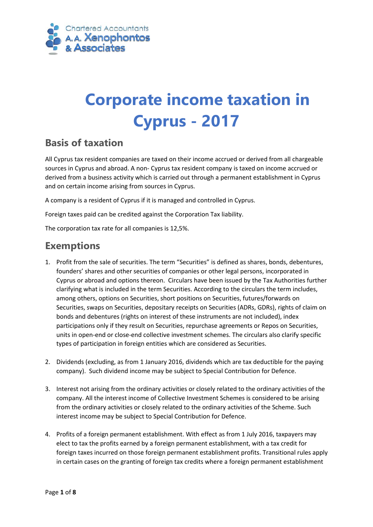

# **Corporate income taxation in Cyprus - 2017**

## **Basis of taxation**

All Cyprus tax resident companies are taxed on their income accrued or derived from all chargeable sources in Cyprus and abroad. A non- Cyprus tax resident company is taxed on income accrued or derived from a business activity which is carried out through a permanent establishment in Cyprus and on certain income arising from sources in Cyprus.

A company is a resident of Cyprus if it is managed and controlled in Cyprus.

Foreign taxes paid can be credited against the Corporation Tax liability.

The corporation tax rate for all companies is 12,5%.

#### **Exemptions**

- 1. Profit from the sale of securities. The term "Securities" is defined as shares, bonds, debentures, founders' shares and other securities of companies or other legal persons, incorporated in Cyprus or abroad and options thereon. Circulars have been issued by the Tax Authorities further clarifying what is included in the term Securities. According to the circulars the term includes, among others, options on Securities, short positions on Securities, futures/forwards on Securities, swaps on Securities, depositary receipts on Securities (ADRs, GDRs), rights of claim on bonds and debentures (rights on interest of these instruments are not included), index participations only if they result on Securities, repurchase agreements or Repos on Securities, units in open-end or close-end collective investment schemes. The circulars also clarify specific types of participation in foreign entities which are considered as Securities.
- 2. Dividends (excluding, as from 1 January 2016, dividends which are tax deductible for the paying company). Such dividend income may be subject to Special Contribution for Defence.
- 3. Interest not arising from the ordinary activities or closely related to the ordinary activities of the company. All the interest income of Collective Investment Schemes is considered to be arising from the ordinary activities or closely related to the ordinary activities of the Scheme. Such interest income may be subject to Special Contribution for Defence.
- 4. Profits of a foreign permanent establishment. With effect as from 1 July 2016, taxpayers may elect to tax the profits earned by a foreign permanent establishment, with a tax credit for foreign taxes incurred on those foreign permanent establishment profits. Transitional rules apply in certain cases on the granting of foreign tax credits where a foreign permanent establishment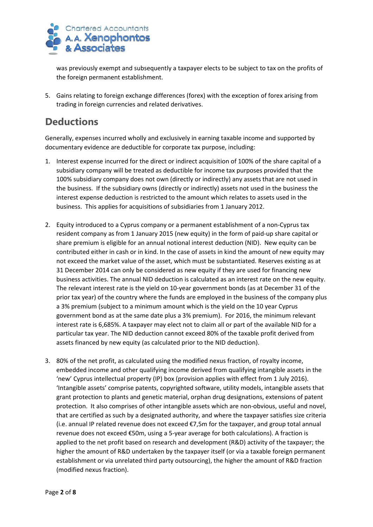

was previously exempt and subsequently a taxpayer elects to be subject to tax on the profits of the foreign permanent establishment.

5. Gains relating to foreign exchange differences (forex) with the exception of forex arising from trading in foreign currencies and related derivatives.

# **Deductions**

Generally, expenses incurred wholly and exclusively in earning taxable income and supported by documentary evidence are deductible for corporate tax purpose, including:

- 1. Interest expense incurred for the direct or indirect acquisition of 100% of the share capital of a subsidiary company will be treated as deductible for income tax purposes provided that the 100% subsidiary company does not own (directly or indirectly) any assets that are not used in the business. If the subsidiary owns (directly or indirectly) assets not used in the business the interest expense deduction is restricted to the amount which relates to assets used in the business. This applies for acquisitions of subsidiaries from 1 January 2012.
- 2. Equity introduced to a Cyprus company or a permanent establishment of a non-Cyprus tax resident company as from 1 January 2015 (new equity) in the form of paid-up share capital or share premium is eligible for an annual notional interest deduction (NID). New equity can be contributed either in cash or in kind. In the case of assets in kind the amount of new equity may not exceed the market value of the asset, which must be substantiated. Reserves existing as at 31 December 2014 can only be considered as new equity if they are used for financing new business activities. The annual NID deduction is calculated as an interest rate on the new equity. The relevant interest rate is the yield on 10-year government bonds (as at December 31 of the prior tax year) of the country where the funds are employed in the business of the company plus a 3% premium (subject to a minimum amount which is the yield on the 10 year Cyprus government bond as at the same date plus a 3% premium). For 2016, the minimum relevant interest rate is 6,685%. A taxpayer may elect not to claim all or part of the available NID for a particular tax year. The NID deduction cannot exceed 80% of the taxable profit derived from assets financed by new equity (as calculated prior to the NID deduction).
- 3. 80% of the net profit, as calculated using the modified nexus fraction, of royalty income, embedded income and other qualifying income derived from qualifying intangible assets in the 'new' Cyprus intellectual property (IP) box (provision applies with effect from 1 July 2016). 'Intangible assets' comprise patents, copyrighted software, utility models, intangible assets that grant protection to plants and genetic material, orphan drug designations, extensions of patent protection. It also comprises of other intangible assets which are non-obvious, useful and novel, that are certified as such by a designated authority, and where the taxpayer satisfies size criteria (i.e. annual IP related revenue does not exceed €7,5m for the taxpayer, and group total annual revenue does not exceed €50m, using a 5-year average for both calculations). A fraction is applied to the net profit based on research and development (R&D) activity of the taxpayer; the higher the amount of R&D undertaken by the taxpayer itself (or via a taxable foreign permanent establishment or via unrelated third party outsourcing), the higher the amount of R&D fraction (modified nexus fraction).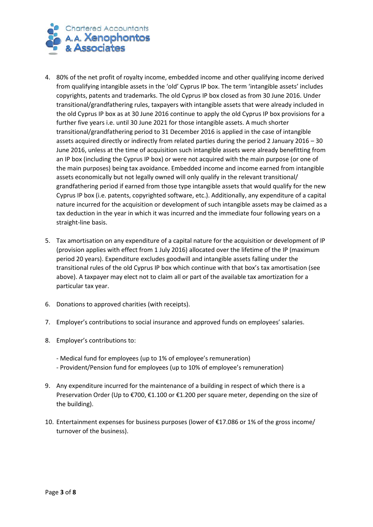

- 4. 80% of the net profit of royalty income, embedded income and other qualifying income derived from qualifying intangible assets in the 'old' Cyprus IP box. The term 'intangible assets' includes copyrights, patents and trademarks. The old Cyprus IP box closed as from 30 June 2016. Under transitional/grandfathering rules, taxpayers with intangible assets that were already included in the old Cyprus IP box as at 30 June 2016 continue to apply the old Cyprus IP box provisions for a further five years i.e. until 30 June 2021 for those intangible assets. A much shorter transitional/grandfathering period to 31 December 2016 is applied in the case of intangible assets acquired directly or indirectly from related parties during the period 2 January 2016 – 30 June 2016, unless at the time of acquisition such intangible assets were already benefitting from an IP box (including the Cyprus IP box) or were not acquired with the main purpose (or one of the main purposes) being tax avoidance. Embedded income and income earned from intangible assets economically but not legally owned will only qualify in the relevant transitional/ grandfathering period if earned from those type intangible assets that would qualify for the new Cyprus IP box (i.e. patents, copyrighted software, etc.). Additionally, any expenditure of a capital nature incurred for the acquisition or development of such intangible assets may be claimed as a tax deduction in the year in which it was incurred and the immediate four following years on a straight-line basis.
- 5. Tax amortisation on any expenditure of a capital nature for the acquisition or development of IP (provision applies with effect from 1 July 2016) allocated over the lifetime of the IP (maximum period 20 years). Expenditure excludes goodwill and intangible assets falling under the transitional rules of the old Cyprus IP box which continue with that box's tax amortisation (see above). A taxpayer may elect not to claim all or part of the available tax amortization for a particular tax year.
- 6. Donations to approved charities (with receipts).
- 7. Employer's contributions to social insurance and approved funds on employees' salaries.
- 8. Employer's contributions to:
	- Medical fund for employees (up to 1% of employee's remuneration)
	- Provident/Pension fund for employees (up to 10% of employee's remuneration)
- 9. Any expenditure incurred for the maintenance of a building in respect of which there is a Preservation Order (Up to €700, €1.100 or €1.200 per square meter, depending on the size of the building).
- 10. Entertainment expenses for business purposes (lower of €17.086 or 1% of the gross income/ turnover of the business).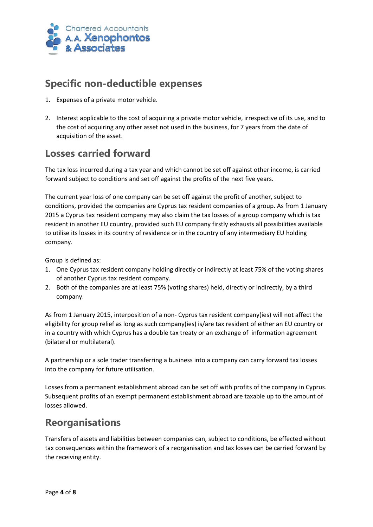

### **Specific non-deductible expenses**

- 1. Expenses of a private motor vehicle.
- 2. Interest applicable to the cost of acquiring a private motor vehicle, irrespective of its use, and to the cost of acquiring any other asset not used in the business, for 7 years from the date of acquisition of the asset.

### **Losses carried forward**

The tax loss incurred during a tax year and which cannot be set off against other income, is carried forward subject to conditions and set off against the profits of the next five years.

The current year loss of one company can be set off against the profit of another, subject to conditions, provided the companies are Cyprus tax resident companies of a group. As from 1 January 2015 a Cyprus tax resident company may also claim the tax losses of a group company which is tax resident in another EU country, provided such EU company firstly exhausts all possibilities available to utilise its losses in its country of residence or in the country of any intermediary EU holding company.

Group is defined as:

- 1. One Cyprus tax resident company holding directly or indirectly at least 75% of the voting shares of another Cyprus tax resident company.
- 2. Both of the companies are at least 75% (voting shares) held, directly or indirectly, by a third company.

As from 1 January 2015, interposition of a non- Cyprus tax resident company(ies) will not affect the eligibility for group relief as long as such company(ies) is/are tax resident of either an EU country or in a country with which Cyprus has a double tax treaty or an exchange of information agreement (bilateral or multilateral).

A partnership or a sole trader transferring a business into a company can carry forward tax losses into the company for future utilisation.

Losses from a permanent establishment abroad can be set off with profits of the company in Cyprus. Subsequent profits of an exempt permanent establishment abroad are taxable up to the amount of losses allowed.

## **Reorganisations**

Transfers of assets and liabilities between companies can, subject to conditions, be effected without tax consequences within the framework of a reorganisation and tax losses can be carried forward by the receiving entity.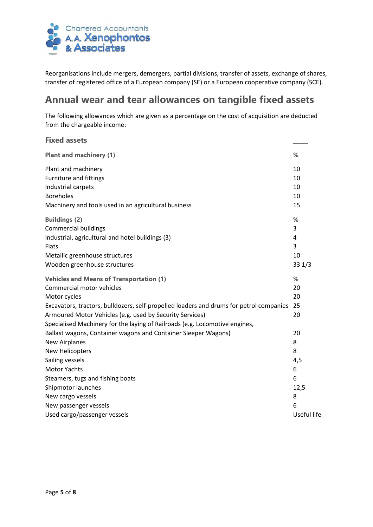

Reorganisations include mergers, demergers, partial divisions, transfer of assets, exchange of shares, transfer of registered office of a European company (SE) or a European cooperative company (SCE).

### **Annual wear and tear allowances on tangible fixed assets**

The following allowances which are given as a percentage on the cost of acquisition are deducted from the chargeable income:

| <b>Plant and machinery (1)</b>                                                          | %           |
|-----------------------------------------------------------------------------------------|-------------|
| Plant and machinery                                                                     | 10          |
| Furniture and fittings                                                                  | 10          |
| Industrial carpets                                                                      | 10          |
| <b>Boreholes</b>                                                                        | 10          |
| Machinery and tools used in an agricultural business                                    | 15          |
| <b>Buildings (2)</b>                                                                    | %           |
| <b>Commercial buildings</b>                                                             | 3           |
| Industrial, agricultural and hotel buildings (3)                                        | 4           |
| <b>Flats</b>                                                                            | 3           |
| Metallic greenhouse structures                                                          | 10          |
| Wooden greenhouse structures                                                            | 331/3       |
| <b>Vehicles and Means of Transportation (1)</b>                                         | %           |
| Commercial motor vehicles                                                               | 20          |
| Motor cycles                                                                            | 20          |
| Excavators, tractors, bulldozers, self-propelled loaders and drums for petrol companies | 25          |
| Armoured Motor Vehicles (e.g. used by Security Services)                                | 20          |
| Specialised Machinery for the laying of Railroads (e.g. Locomotive engines,             |             |
| Ballast wagons, Container wagons and Container Sleeper Wagons)                          | 20          |
| <b>New Airplanes</b>                                                                    | 8           |
| New Helicopters                                                                         | 8           |
| Sailing vessels                                                                         | 4,5         |
| <b>Motor Yachts</b>                                                                     | 6           |
| Steamers, tugs and fishing boats                                                        | 6           |
| Shipmotor launches                                                                      | 12,5        |
| New cargo vessels                                                                       | 8           |
| New passenger vessels                                                                   | 6           |
| Used cargo/passenger vessels                                                            | Useful life |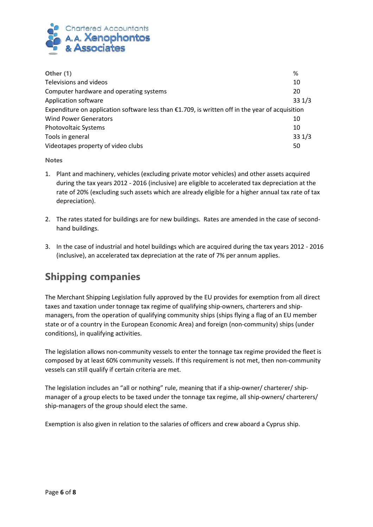

| Other (1)                                                                                          | %     |
|----------------------------------------------------------------------------------------------------|-------|
| Televisions and videos                                                                             | 10    |
| Computer hardware and operating systems                                                            | 20    |
| Application software                                                                               | 331/3 |
| Expenditure on application software less than $E1.709$ , is written off in the year of acquisition |       |
| <b>Wind Power Generators</b>                                                                       | 10    |
| <b>Photovoltaic Systems</b>                                                                        | 10    |
| Tools in general                                                                                   | 331/3 |
| Videotapes property of video clubs                                                                 | 50    |

**Notes**

- 1. Plant and machinery, vehicles (excluding private motor vehicles) and other assets acquired during the tax years 2012 - 2016 (inclusive) are eligible to accelerated tax depreciation at the rate of 20% (excluding such assets which are already eligible for a higher annual tax rate of tax depreciation).
- 2. The rates stated for buildings are for new buildings. Rates are amended in the case of secondhand buildings.
- 3. In the case of industrial and hotel buildings which are acquired during the tax years 2012 2016 (inclusive), an accelerated tax depreciation at the rate of 7% per annum applies.

## **Shipping companies**

The Merchant Shipping Legislation fully approved by the EU provides for exemption from all direct taxes and taxation under tonnage tax regime of qualifying ship-owners, charterers and shipmanagers, from the operation of qualifying community ships (ships flying a flag of an EU member state or of a country in the European Economic Area) and foreign (non-community) ships (under conditions), in qualifying activities.

The legislation allows non-community vessels to enter the tonnage tax regime provided the fleet is composed by at least 60% community vessels. If this requirement is not met, then non-community vessels can still qualify if certain criteria are met.

The legislation includes an "all or nothing" rule, meaning that if a ship-owner/ charterer/ shipmanager of a group elects to be taxed under the tonnage tax regime, all ship-owners/ charterers/ ship-managers of the group should elect the same.

Exemption is also given in relation to the salaries of officers and crew aboard a Cyprus ship.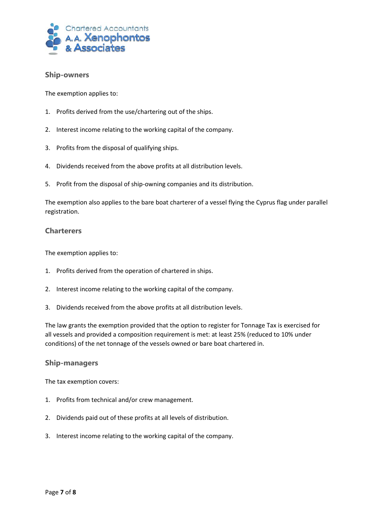

#### **Ship-owners**

The exemption applies to:

- 1. Profits derived from the use/chartering out of the ships.
- 2. Interest income relating to the working capital of the company.
- 3. Profits from the disposal of qualifying ships.
- 4. Dividends received from the above profits at all distribution levels.
- 5. Profit from the disposal of ship-owning companies and its distribution.

The exemption also applies to the bare boat charterer of a vessel flying the Cyprus flag under parallel registration.

#### **Charterers**

The exemption applies to:

- 1. Profits derived from the operation of chartered in ships.
- 2. Interest income relating to the working capital of the company.
- 3. Dividends received from the above profits at all distribution levels.

The law grants the exemption provided that the option to register for Tonnage Tax is exercised for all vessels and provided a composition requirement is met: at least 25% (reduced to 10% under conditions) of the net tonnage of the vessels owned or bare boat chartered in.

#### **Ship-managers**

The tax exemption covers:

- 1. Profits from technical and/or crew management.
- 2. Dividends paid out of these profits at all levels of distribution.
- 3. Interest income relating to the working capital of the company.